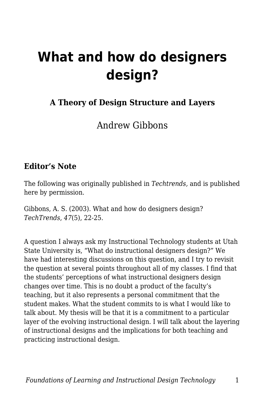# **What and how do designers design?**

### **A Theory of Design Structure and Layers**

Andrew Gibbons

#### **Editor's Note**

The following was originally published in *Techtrends,* and is published here by permission.

Gibbons, A. S. (2003). What and how do designers design? *TechTrends*, *47*(5), 22-25.

A question I always ask my Instructional Technology students at Utah State University is, "What do instructional designers design?" We have had interesting discussions on this question, and I try to revisit the question at several points throughout all of my classes. I find that the students' perceptions of what instructional designers design changes over time. This is no doubt a product of the faculty's teaching, but it also represents a personal commitment that the student makes. What the student commits to is what I would like to talk about. My thesis will be that it is a commitment to a particular layer of the evolving instructional design. I will talk about the layering of instructional designs and the implications for both teaching and practicing instructional design.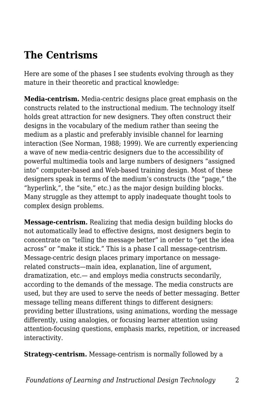## **The Centrisms**

Here are some of the phases I see students evolving through as they mature in their theoretic and practical knowledge:

**Media-centrism.** Media-centric designs place great emphasis on the constructs related to the instructional medium. The technology itself holds great attraction for new designers. They often construct their designs in the vocabulary of the medium rather than seeing the medium as a plastic and preferably invisible channel for learning interaction (See Norman, 1988; 1999). We are currently experiencing a wave of new media-centric designers due to the accessibility of powerful multimedia tools and large numbers of designers "assigned into" computer-based and Web-based training design. Most of these designers speak in terms of the medium's constructs (the "page," the "hyperlink,", the "site," etc.) as the major design building blocks. Many struggle as they attempt to apply inadequate thought tools to complex design problems.

**Message-centrism.** Realizing that media design building blocks do not automatically lead to effective designs, most designers begin to concentrate on "telling the message better" in order to "get the idea across" or "make it stick." This is a phase I call message-centrism. Message-centric design places primary importance on messagerelated constructs—main idea, explanation, line of argument, dramatization, etc.— and employs media constructs secondarily, according to the demands of the message. The media constructs are used, but they are used to serve the needs of better messaging. Better message telling means different things to different designers: providing better illustrations, using animations, wording the message differently, using analogies, or focusing learner attention using attention-focusing questions, emphasis marks, repetition, or increased interactivity.

**Strategy-centrism.** Message-centrism is normally followed by a

*Foundations of Learning and Instructional Design Technology* 2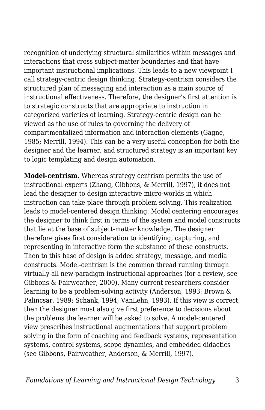recognition of underlying structural similarities within messages and interactions that cross subject-matter boundaries and that have important instructional implications. This leads to a new viewpoint I call strategy-centric design thinking. Strategy-centrism considers the structured plan of messaging and interaction as a main source of instructional effectiveness. Therefore, the designer's first attention is to strategic constructs that are appropriate to instruction in categorized varieties of learning. Strategy-centric design can be viewed as the use of rules to governing the delivery of compartmentalized information and interaction elements (Gagne, 1985; Merrill, 1994). This can be a very useful conception for both the designer and the learner, and structured strategy is an important key to logic templating and design automation.

**Model-centrism.** Whereas strategy centrism permits the use of instructional experts (Zhang, Gibbons, & Merrill, 1997), it does not lead the designer to design interactive micro-worlds in which instruction can take place through problem solving. This realization leads to model-centered design thinking. Model centering encourages the designer to think first in terms of the system and model constructs that lie at the base of subject-matter knowledge. The designer therefore gives first consideration to identifying, capturing, and representing in interactive form the substance of these constructs. Then to this base of design is added strategy, message, and media constructs. Model-centrism is the common thread running through virtually all new-paradigm instructional approaches (for a review, see Gibbons & Fairweather, 2000). Many current researchers consider learning to be a problem-solving activity (Anderson, 1993; Brown & Palincsar, 1989; Schank, 1994; VanLehn, 1993). If this view is correct, then the designer must also give first preference to decisions about the problems the learner will be asked to solve. A model-centered view prescribes instructional augmentations that support problem solving in the form of coaching and feedback systems, representation systems, control systems, scope dynamics, and embedded didactics (see Gibbons, Fairweather, Anderson, & Merrill, 1997).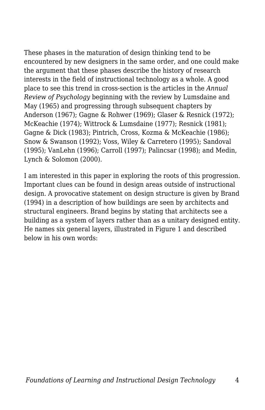These phases in the maturation of design thinking tend to be encountered by new designers in the same order, and one could make the argument that these phases describe the history of research interests in the field of instructional technology as a whole. A good place to see this trend in cross-section is the articles in the *Annual Review of Psychology* beginning with the review by Lumsdaine and May (1965) and progressing through subsequent chapters by Anderson (1967); Gagne & Rohwer (1969); Glaser & Resnick (1972); McKeachie (1974); Wittrock & Lumsdaine (1977); Resnick (1981); Gagne & Dick (1983); Pintrich, Cross, Kozma & McKeachie (1986); Snow & Swanson (1992); Voss, Wiley & Carretero (1995); Sandoval (1995); VanLehn (1996); Carroll (1997); Palincsar (1998); and Medin, Lynch & Solomon (2000).

I am interested in this paper in exploring the roots of this progression. Important clues can be found in design areas outside of instructional design. A provocative statement on design structure is given by Brand (1994) in a description of how buildings are seen by architects and structural engineers. Brand begins by stating that architects see a building as a system of layers rather than as a unitary designed entity. He names six general layers, illustrated in Figure 1 and described below in his own words: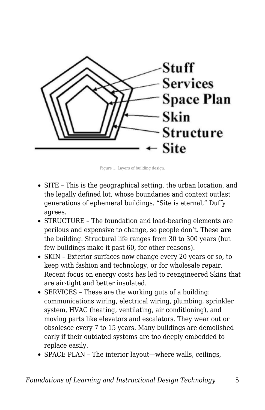

Figure 1. Layers of building design.

- SITE This is the geographical setting, the urban location, and the legally defined lot, whose boundaries and context outlast generations of ephemeral buildings. "Site is eternal," Duffy agrees.
- STRUCTURE The foundation and load-bearing elements are perilous and expensive to change, so people don't. These **are** the building. Structural life ranges from 30 to 300 years (but few buildings make it past 60, for other reasons).
- SKIN Exterior surfaces now change every 20 years or so, to keep with fashion and technology, or for wholesale repair. Recent focus on energy costs has led to reengineered Skins that are air-tight and better insulated.
- SERVICES These are the working guts of a building: communications wiring, electrical wiring, plumbing, sprinkler system, HVAC (heating, ventilating, air conditioning), and moving parts like elevators and escalators. They wear out or obsolesce every 7 to 15 years. Many buildings are demolished early if their outdated systems are too deeply embedded to replace easily.
- SPACE PLAN The interior layout—where walls, ceilings,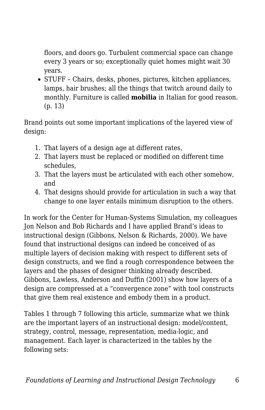floors, and doors go. Turbulent commercial space can change every 3 years or so; exceptionally quiet homes might wait 30 years.

• STUFF - Chairs, desks, phones, pictures, kitchen appliances, lamps, hair brushes; all the things that twitch around daily to monthly. Furniture is called **mobilia** in Italian for good reason. (p. 13)

Brand points out some important implications of the layered view of design:

- 1. That layers of a design age at different rates,
- 2. That layers must be replaced or modified on different time schedules,
- 3. That the layers must be articulated with each other somehow, and
- 4. That designs should provide for articulation in such a way that change to one layer entails minimum disruption to the others.

In work for the Center for Human-Systems Simulation, my colleagues Jon Nelson and Bob Richards and I have applied Brand's ideas to instructional design (Gibbons, Nelson & Richards, 2000). We have found that instructional designs can indeed be conceived of as multiple layers of decision making with respect to different sets of design constructs, and we find a rough correspondence between the layers and the phases of designer thinking already described. Gibbons, Lawless, Anderson and Duffin (2001) show how layers of a design are compressed at a "convergence zone" with tool constructs that give them real existence and embody them in a product.

Tables 1 through 7 following this article, summarize what we think are the important layers of an instructional design: model/content, strategy, control, message, representation, media-logic, and management. Each layer is characterized in the tables by the following sets: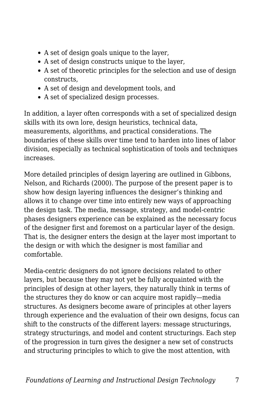- A set of design goals unique to the layer,
- A set of design constructs unique to the layer,
- A set of theoretic principles for the selection and use of design constructs,
- A set of design and development tools, and
- A set of specialized design processes.

In addition, a layer often corresponds with a set of specialized design skills with its own lore, design heuristics, technical data, measurements, algorithms, and practical considerations. The boundaries of these skills over time tend to harden into lines of labor division, especially as technical sophistication of tools and techniques increases.

More detailed principles of design layering are outlined in Gibbons, Nelson, and Richards (2000). The purpose of the present paper is to show how design layering influences the designer's thinking and allows it to change over time into entirely new ways of approaching the design task. The media, message, strategy, and model-centric phases designers experience can be explained as the necessary focus of the designer first and foremost on a particular layer of the design. That is, the designer enters the design at the layer most important to the design or with which the designer is most familiar and comfortable.

Media-centric designers do not ignore decisions related to other layers, but because they may not yet be fully acquainted with the principles of design at other layers, they naturally think in terms of the structures they do know or can acquire most rapidly—media structures. As designers become aware of principles at other layers through experience and the evaluation of their own designs, focus can shift to the constructs of the different layers: message structurings, strategy structurings, and model and content structurings. Each step of the progression in turn gives the designer a new set of constructs and structuring principles to which to give the most attention, with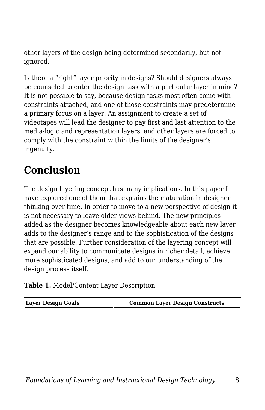other layers of the design being determined secondarily, but not ignored.

Is there a "right" layer priority in designs? Should designers always be counseled to enter the design task with a particular layer in mind? It is not possible to say, because design tasks most often come with constraints attached, and one of those constraints may predetermine a primary focus on a layer. An assignment to create a set of videotapes will lead the designer to pay first and last attention to the media-logic and representation layers, and other layers are forced to comply with the constraint within the limits of the designer's ingenuity.

## **Conclusion**

The design layering concept has many implications. In this paper I have explored one of them that explains the maturation in designer thinking over time. In order to move to a new perspective of design it is not necessary to leave older views behind. The new principles added as the designer becomes knowledgeable about each new layer adds to the designer's range and to the sophistication of the designs that are possible. Further consideration of the layering concept will expand our ability to communicate designs in richer detail, achieve more sophisticated designs, and add to our understanding of the design process itself.

#### **Table 1.** Model/Content Layer Description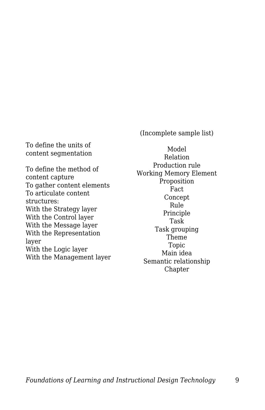(Incomplete sample list)

To define the units of content segmentation

To define the method of content capture To gather content elements To articulate content structures: With the Strategy layer With the Control layer With the Message layer With the Representation layer With the Logic layer With the Management layer

Model Relation Production rule Working Memory Element Proposition Fact Concept Rule Principle Task Task grouping Theme Topic Main idea Semantic relationship Chapter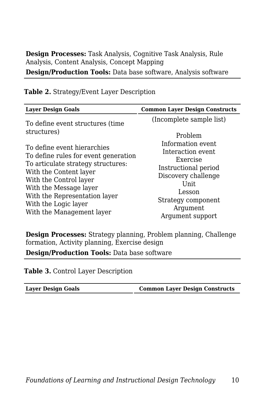**Design Processes:** Task Analysis, Cognitive Task Analysis, Rule Analysis, Content Analysis, Concept Mapping **Design/Production Tools:** Data base software, Analysis software

| <b>Layer Design Goals</b>                                                                                                                                                                                                                                                     | <b>Common Layer Design Constructs</b>                                                                                                                                      |
|-------------------------------------------------------------------------------------------------------------------------------------------------------------------------------------------------------------------------------------------------------------------------------|----------------------------------------------------------------------------------------------------------------------------------------------------------------------------|
| To define event structures (time<br>structures)                                                                                                                                                                                                                               | (Incomplete sample list)<br>Problem                                                                                                                                        |
| To define event hierarchies<br>To define rules for event generation<br>To articulate strategy structures:<br>With the Content layer<br>With the Control layer<br>With the Message layer<br>With the Representation layer<br>With the Logic layer<br>With the Management layer | Information event<br>Interaction event<br>Exercise<br>Instructional period<br>Discovery challenge<br>Unit.<br>Lesson<br>Strategy component<br>Argument<br>Argument support |

#### **Table 2.** Strategy/Event Layer Description

**Design Processes:** Strategy planning, Problem planning, Challenge formation, Activity planning, Exercise design

**Design/Production Tools:** Data base software

**Table 3.** Control Layer Description

| Layer Design Goals | <b>Common Layer Design Constructs</b> |
|--------------------|---------------------------------------|
|--------------------|---------------------------------------|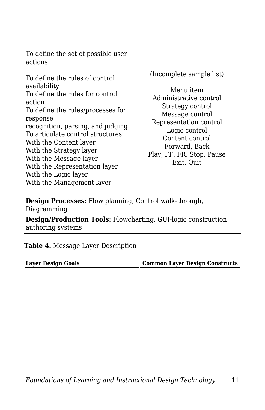To define the set of possible user actions

To define the rules of control availability To define the rules for control action To define the rules/processes for response recognition, parsing, and judging To articulate control structures: With the Content layer With the Strategy layer With the Message layer With the Representation layer With the Logic layer With the Management layer

(Incomplete sample list)

Menu item Administrative control Strategy control Message control Representation control Logic control Content control Forward, Back Play, FF, FR, Stop, Pause Exit, Quit

**Design Processes:** Flow planning, Control walk-through, Diagramming

**Design/Production Tools:** Flowcharting, GUI-logic construction authoring systems

**Table 4.** Message Layer Description

| <b>Layer Design Goals</b> |  |
|---------------------------|--|
|                           |  |

**Layer Design Goals Common Layer Design Constructs**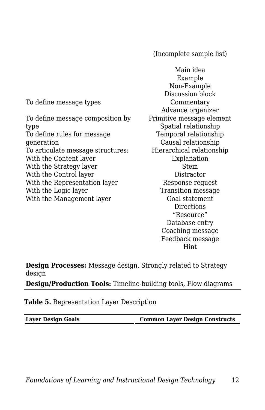(Incomplete sample list)

To define message types To define message composition by type To define rules for message generation To articulate message structures: With the Content layer With the Strategy layer With the Control layer With the Representation layer With the Logic layer With the Management layer

Main idea Example Non-Example Discussion block Commentary Advance organizer Primitive message element Spatial relationship Temporal relationship Causal relationship Hierarchical relationship Explanation Stem Distractor Response request Transition message Goal statement **Directions** "Resource" Database entry Coaching message Feedback message Hint

**Design Processes:** Message design, Strongly related to Strategy design

**Design/Production Tools:** Timeline-building tools, Flow diagrams

**Table 5.** Representation Layer Description

**Layer Design Goals Common Layer Design Constructs**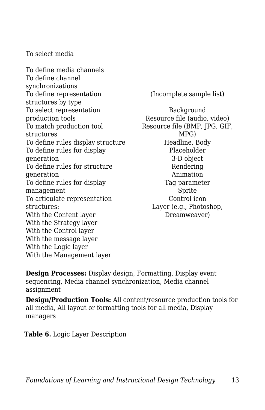To select media

To define media channels To define channel synchronizations To define representation structures by type To select representation production tools To match production tool structures To define rules display structure To define rules for display generation To define rules for structure generation To define rules for display management To articulate representation structures: With the Content layer With the Strategy layer With the Control layer With the message layer With the Logic layer With the Management layer

(Incomplete sample list)

Background Resource file (audio, video) Resource file (BMP, JPG, GIF, MPG) Headline, Body Placeholder 3-D object Rendering Animation Tag parameter Sprite Control icon Layer (e.g., Photoshop, Dreamweaver)

**Design Processes:** Display design, Formatting, Display event sequencing, Media channel synchronization, Media channel assignment

**Design/Production Tools:** All content/resource production tools for all media, All layout or formatting tools for all media, Display managers

**Table 6.** Logic Layer Description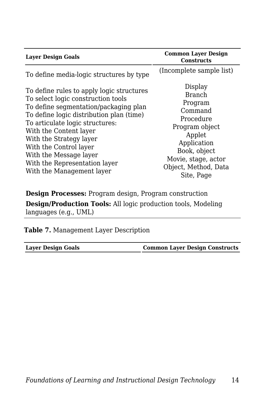| <b>Laver Design Goals</b>                                                                                                                                                                                                                                                                                                                                                                                                  | <b>Common Layer Design</b><br><b>Constructs</b>                                                                     |
|----------------------------------------------------------------------------------------------------------------------------------------------------------------------------------------------------------------------------------------------------------------------------------------------------------------------------------------------------------------------------------------------------------------------------|---------------------------------------------------------------------------------------------------------------------|
| To define media-logic structures by type<br>To define rules to apply logic structures<br>To select logic construction tools<br>To define segmentation/packaging plan<br>To define logic distribution plan (time)<br>To articulate logic structures:<br>With the Content layer<br>With the Strategy layer<br>With the Control layer<br>With the Message layer<br>With the Representation layer<br>With the Management layer | (Incomplete sample list)<br>Display<br><b>Branch</b><br>Program<br>Command<br>Procedure<br>Program object<br>Applet |
|                                                                                                                                                                                                                                                                                                                                                                                                                            | Application<br>Book, object<br>Movie, stage, actor<br>Object, Method, Data<br>Site, Page                            |

**Design Processes:** Program design, Program construction **Design/Production Tools:** All logic production tools, Modeling languages (e.g., UML)

**Table 7.** Management Layer Description

**Layer Design Goals Common Layer Design Constructs**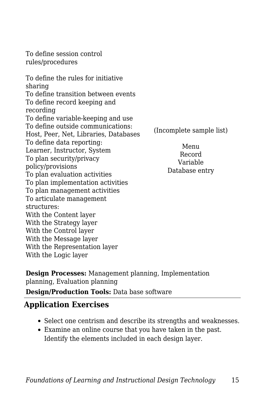To define session control rules/procedures

To define the rules for initiative sharing To define transition between events To define record keeping and recording To define variable-keeping and use To define outside communications: Host, Peer, Net, Libraries, Databases To define data reporting: Learner, Instructor, System To plan security/privacy policy/provisions To plan evaluation activities To plan implementation activities To plan management activities To articulate management structures: With the Content layer With the Strategy layer With the Control layer With the Message layer With the Representation layer With the Logic layer

(Incomplete sample list)

Menu Record Variable Database entry

**Design Processes:** Management planning, Implementation planning, Evaluation planning

**Design/Production Tools:** Data base software

### **Application Exercises**

- Select one centrism and describe its strengths and weaknesses.
- Examine an online course that you have taken in the past. Identify the elements included in each design layer.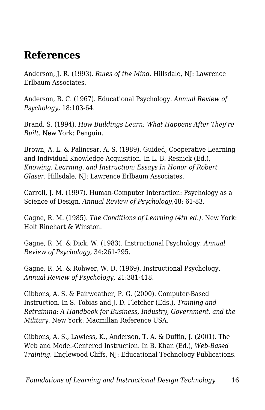## **References**

Anderson, J. R. (1993). *Rules of the Mind.* Hillsdale, NJ: Lawrence Erlbaum Associates.

Anderson, R. C. (1967). Educational Psychology. *Annual Review of Psychology,* 18:103-64.

Brand, S. (1994). *How Buildings Learn: What Happens After They're Built.* New York: Penguin.

Brown, A. L. & Palincsar, A. S. (1989). Guided, Cooperative Learning and Individual Knowledge Acquisition. In L. B. Resnick (Ed.), *Knowing, Learning, and Instruction: Essays In Honor of Robert Glaser.* Hillsdale, NJ: Lawrence Erlbaum Associates.

Carroll, J. M. (1997). Human-Computer Interaction: Psychology as a Science of Design. *Annual Review of Psychology,*48: 61-83.

Gagne, R. M. (1985). *The Conditions of Learning (4th ed.).* New York: Holt Rinehart & Winston.

Gagne, R. M. & Dick, W. (1983). Instructional Psychology. *Annual Review of Psychology,* 34:261-295.

Gagne, R. M. & Rohwer, W. D. (1969). Instructional Psychology. *Annual Review of Psychology,* 21:381-418.

Gibbons, A. S. & Fairweather, P. G. (2000). Computer-Based Instruction. In S. Tobias and J. D. Fletcher (Eds.), *Training and Retraining: A Handbook for Business, Industry, Government, and the Military.* New York: Macmillan Reference USA.

Gibbons, A. S., Lawless, K., Anderson, T. A. & Duffin, J. (2001). The Web and Model-Centered Instruction. In B. Khan (Ed.), *Web-Based Training*. Englewood Cliffs, NJ: Educational Technology Publications.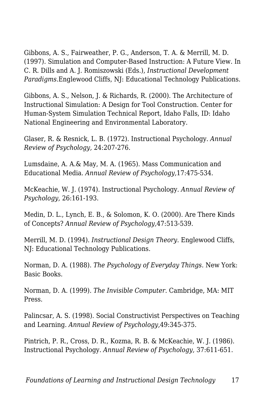Gibbons, A. S., Fairweather, P. G., Anderson, T. A. & Merrill, M. D. (1997). Simulation and Computer-Based Instruction: A Future View. In C. R. Dills and A. J. Romiszowski (Eds.), *Instructional Development Paradigms.*Englewood Cliffs, NJ: Educational Technology Publications.

Gibbons, A. S., Nelson, J. & Richards, R. (2000). The Architecture of Instructional Simulation: A Design for Tool Construction. Center for Human-System Simulation Technical Report, Idaho Falls, ID: Idaho National Engineering and Environmental Laboratory.

Glaser, R. & Resnick, L. B. (1972). Instructional Psychology. *Annual Review of Psychology,* 24:207-276.

Lumsdaine, A. A.& May, M. A. (1965). Mass Communication and Educational Media. *Annual Review of Psychology,*17:475-534.

McKeachie, W. J. (1974). Instructional Psychology. *Annual Review of Psychology,* 26:161-193.

Medin, D. L., Lynch, E. B., & Solomon, K. O. (2000). Are There Kinds of Concepts? *Annual Review of Psychology,*47:513-539.

Merrill, M. D. (1994). *Instructional Design Theory*. Englewood Cliffs, NJ: Educational Technology Publications.

Norman, D. A. (1988). *The Psychology of Everyday Things*. New York: Basic Books.

Norman, D. A. (1999). *The Invisible Computer*. Cambridge, MA: MIT Press.

Palincsar, A. S. (1998). Social Constructivist Perspectives on Teaching and Learning. *Annual Review of Psychology,*49:345-375.

Pintrich, P. R., Cross, D. R., Kozma, R. B. & McKeachie, W. J. (1986). Instructional Psychology. *Annual Review of Psychology,* 37:611-651.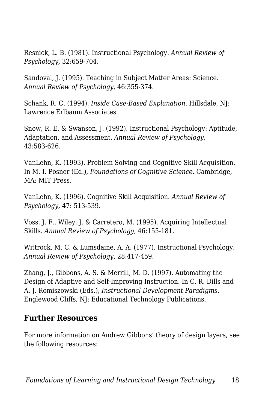Resnick, L. B. (1981). Instructional Psychology. *Annual Review of Psychology,* 32:659-704.

Sandoval, J. (1995). Teaching in Subject Matter Areas: Science. *Annual Review of Psychology,* 46:355-374.

Schank, R. C. (1994). *Inside Case-Based Explanation*. Hillsdale, NJ: Lawrence Erlbaum Associates.

Snow, R. E. & Swanson, J. (1992). Instructional Psychology: Aptitude, Adaptation, and Assessment. *Annual Review of Psychology,* 43:583-626.

VanLehn, K. (1993). Problem Solving and Cognitive Skill Acquisition. In M. I. Posner (Ed.), *Foundations of Cognitive Science*. Cambridge, MA: MIT Press.

VanLehn, K. (1996). Cognitive Skill Acquisition. *Annual Review of Psychology,* 47: 513-539.

Voss, J. F., Wiley, J. & Carretero, M. (1995). Acquiring Intellectual Skills. *Annual Review of Psychology,* 46:155-181.

Wittrock, M. C. & Lumsdaine, A. A. (1977). Instructional Psychology. *Annual Review of Psychology,* 28:417-459.

Zhang, J., Gibbons, A. S. & Merrill, M. D. (1997). Automating the Design of Adaptive and Self-Improving Instruction. In C. R. Dills and A. J. Romiszowski (Eds.), *Instructional Development Paradigms.* Englewood Cliffs, NJ: Educational Technology Publications.

#### **Further Resources**

For more information on Andrew Gibbons' theory of design layers, see the following resources: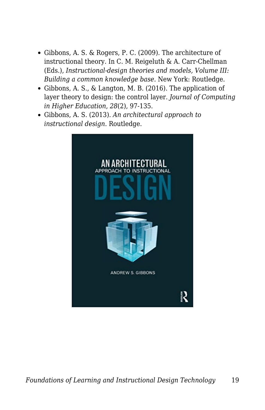- Gibbons, A. S. & Rogers, P. C. (2009). The architecture of instructional theory. In C. M. Reigeluth & A. Carr-Chellman (Eds.), *Instructional-design theories and models, Volume III: Building a common knowledge base*. New York: Routledge.
- Gibbons, A. S., & Langton, M. B. (2016). The application of layer theory to design: the control layer. *Journal of Computing in Higher Education*, *28*(2), 97-135.
- Gibbons, A. S. (2013). *An architectural approach to instructional design*. Routledge.

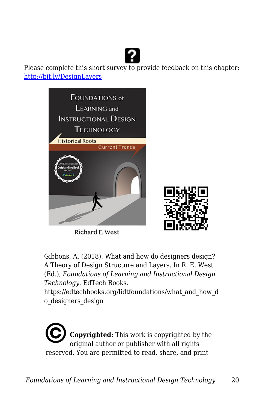

Please complete this short survey to provide feedback on this chapter: <http://bit.ly/DesignLayers>



Richard E. West



Gibbons, A. (2018). What and how do designers design? A Theory of Design Structure and Layers. In R. E. West (Ed.), *Foundations of Learning and Instructional Design Technology*. EdTech Books.

https://edtechbooks.org/lidtfoundations/what\_and\_how\_d o\_designers\_design

**Copyrighted:** This work is copyrighted by the original author or publisher with all rights reserved. You are permitted to read, share, and print